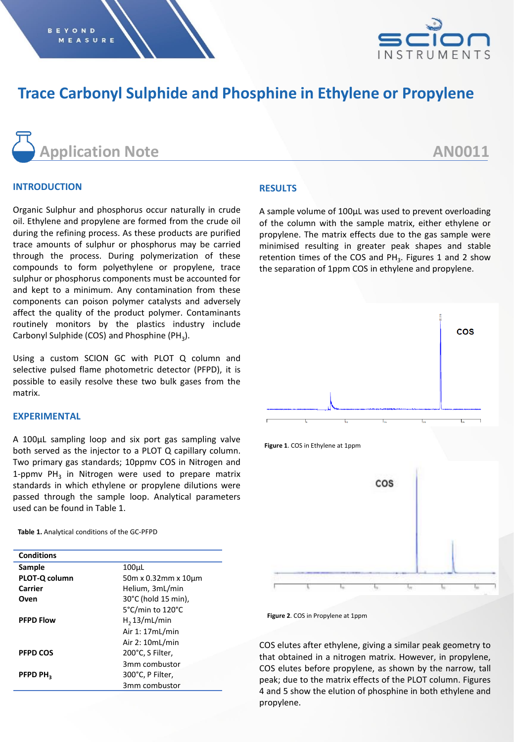

# **Trace Carbonyl Sulphide and Phosphine in Ethylene or Propylene**



#### **INTRODUCTION**

Organic Sulphur and phosphorus occur naturally in crude oil. Ethylene and propylene are formed from the crude oil during the refining process. As these products are purified trace amounts of sulphur or phosphorus may be carried through the process. During polymerization of these compounds to form polyethylene or propylene, trace sulphur or phosphorus components must be accounted for and kept to a minimum. Any contamination from these components can poison polymer catalysts and adversely affect the quality of the product polymer. Contaminants routinely monitors by the plastics industry include Carbonyl Sulphide (COS) and Phosphine (PH<sub>3</sub>).

Using a custom SCION GC with PLOT Q column and selective pulsed flame photometric detector (PFPD), it is possible to easily resolve these two bulk gases from the matrix.

## **EXPERIMENTAL**

A 100µL sampling loop and six port gas sampling valve both served as the injector to a PLOT Q capillary column. Two primary gas standards; 10ppmv COS in Nitrogen and 1-ppmv  $PH_3$  in Nitrogen were used to prepare matrix standards in which ethylene or propylene dilutions were passed through the sample loop. Analytical parameters used can be found in Table 1.

**Table 1.** Analytical conditions of the GC-PFPD

| <b>Conditions</b>    |                     |  |  |
|----------------------|---------------------|--|--|
| Sample               | 100µL               |  |  |
| PLOT-Q column        | 50m x 0.32mm x 10um |  |  |
| Carrier              | Helium, 3mL/min     |  |  |
| Oven                 | 30°C (hold 15 min), |  |  |
|                      | 5°C/min to 120°C    |  |  |
| <b>PFPD Flow</b>     | $H2$ 13/mL/min      |  |  |
|                      | Air 1: 17mL/min     |  |  |
|                      | Air 2: 10mL/min     |  |  |
| <b>PFPD COS</b>      | 200°C, S Filter,    |  |  |
|                      | 3mm combustor       |  |  |
| PFPD PH <sub>2</sub> | 300°C, P Filter,    |  |  |
|                      | 3mm combustor       |  |  |

#### **RESULTS**

A sample volume of 100µL was used to prevent overloading of the column with the sample matrix, either ethylene or propylene. The matrix effects due to the gas sample were minimised resulting in greater peak shapes and stable retention times of the COS and  $PH_3$ . Figures 1 and 2 show the separation of 1ppm COS in ethylene and propylene.



**Figure 1**. COS in Ethylene at 1ppm





COS elutes after ethylene, giving a similar peak geometry to that obtained in a nitrogen matrix. However, in propylene, COS elutes before propylene, as shown by the narrow, tall peak; due to the matrix effects of the PLOT column. Figures 4 and 5 show the elution of phosphine in both ethylene and propylene.